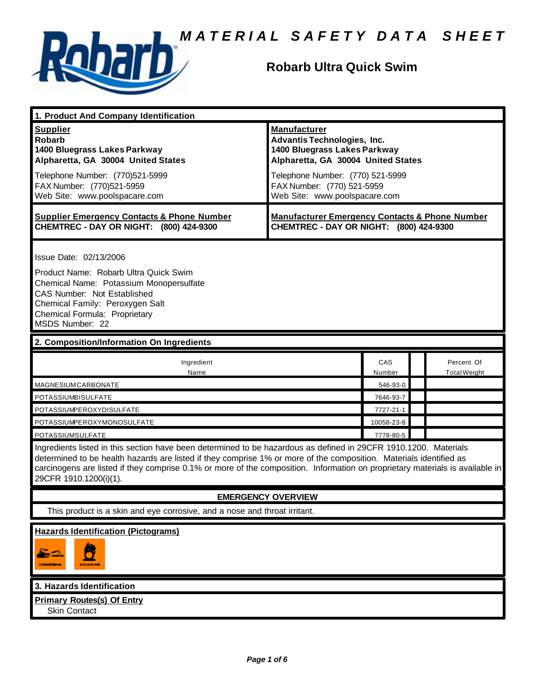

## **Robarb Ultra Quick Swim**

| 1. Product And Company Identification                                                                                                                                                                                                                                                                                                                                                                                              |                                                                                                                                                                                                                                    |               |                                   |
|------------------------------------------------------------------------------------------------------------------------------------------------------------------------------------------------------------------------------------------------------------------------------------------------------------------------------------------------------------------------------------------------------------------------------------|------------------------------------------------------------------------------------------------------------------------------------------------------------------------------------------------------------------------------------|---------------|-----------------------------------|
| <b>Supplier</b><br><b>Robarb</b><br>1400 Bluegrass Lakes Parkway<br>Alpharetta, GA 30004 United States<br>Telephone Number: (770)521-5999<br>FAX Number: (770)521-5959<br>Web Site: www.poolspacare.com                                                                                                                                                                                                                            | <b>Manufacturer</b><br><b>Advantis Technologies, Inc.</b><br>1400 Bluegrass Lakes Parkway<br>Alpharetta, GA 30004 United States<br>Telephone Number: (770) 521-5999<br>FAX Number: (770) 521-5959<br>Web Site: www.poolspacare.com |               |                                   |
| <b>Supplier Emergency Contacts &amp; Phone Number</b><br>CHEMTREC - DAY OR NIGHT: (800) 424-9300                                                                                                                                                                                                                                                                                                                                   | <b>Manufacturer Emergency Contacts &amp; Phone Number</b><br>CHEMTREC - DAY OR NIGHT: (800) 424-9300                                                                                                                               |               |                                   |
| Issue Date: 02/13/2006<br>Product Name: Robarb Ultra Quick Swim<br>Chemical Name: Potassium Monopersulfate<br>CAS Number: Not Established<br>Chemical Family: Peroxygen Salt<br>Chemical Formula: Proprietary<br>MSDS Number: 22                                                                                                                                                                                                   |                                                                                                                                                                                                                                    |               |                                   |
| 2. Composition/Information On Ingredients                                                                                                                                                                                                                                                                                                                                                                                          |                                                                                                                                                                                                                                    |               |                                   |
| Ingredient<br>Name                                                                                                                                                                                                                                                                                                                                                                                                                 |                                                                                                                                                                                                                                    | CAS<br>Number | Percent Of<br><b>Total Weight</b> |
| MAGNESIUMCARBONATE                                                                                                                                                                                                                                                                                                                                                                                                                 |                                                                                                                                                                                                                                    | 546-93-0      |                                   |
| POTASSIUMBISULFATE                                                                                                                                                                                                                                                                                                                                                                                                                 |                                                                                                                                                                                                                                    | 7646-93-7     |                                   |
| POTASSIUMPEROXYDISULFATE                                                                                                                                                                                                                                                                                                                                                                                                           |                                                                                                                                                                                                                                    | 7727-21-1     |                                   |
| POTASSIUMPEROXYMONOSULFATE                                                                                                                                                                                                                                                                                                                                                                                                         |                                                                                                                                                                                                                                    | 10058-23-8    |                                   |
| POTASSIUMSULFATE<br>7778-80-5<br>Ingredients listed in this section have been determined to be hazardous as defined in 29CFR 1910.1200. Materials<br>determined to be health hazards are listed if they comprise 1% or more of the composition. Materials identified as<br>carcinogens are listed if they comprise 0.1% or more of the composition. Information on proprietary materials is available in<br>29CFR 1910.1200(i)(1). |                                                                                                                                                                                                                                    |               |                                   |
| <b>EMERGENCY OVERVIEW</b>                                                                                                                                                                                                                                                                                                                                                                                                          |                                                                                                                                                                                                                                    |               |                                   |
| This product is a skin and eye corrosive, and a nose and throat irritant.                                                                                                                                                                                                                                                                                                                                                          |                                                                                                                                                                                                                                    |               |                                   |
| <b>Hazards Identification (Pictograms)</b><br>c (NorthEave)<br><b>СХЛИЯТЫ</b>                                                                                                                                                                                                                                                                                                                                                      |                                                                                                                                                                                                                                    |               |                                   |
| 3. Hazards Identification                                                                                                                                                                                                                                                                                                                                                                                                          |                                                                                                                                                                                                                                    |               |                                   |
| <b>Primary Routes(s) Of Entry</b><br><b>Skin Contact</b>                                                                                                                                                                                                                                                                                                                                                                           |                                                                                                                                                                                                                                    |               |                                   |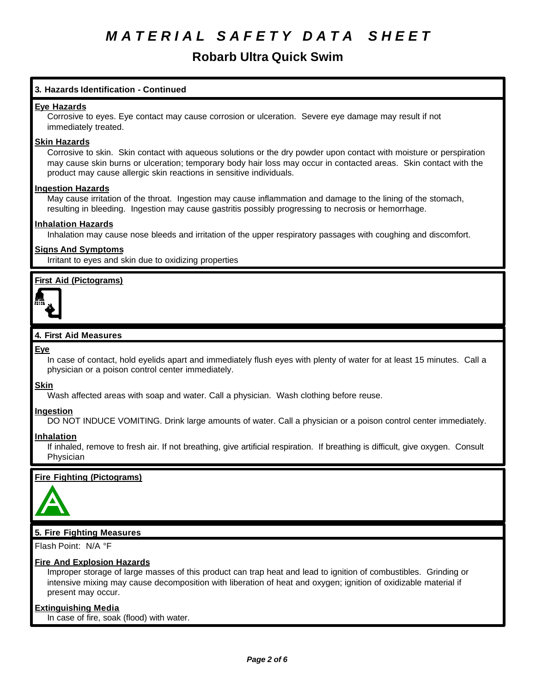## **Robarb Ultra Quick Swim**

## **3. Hazards Identification - Continued**

#### **Eye Hazards**

Corrosive to eyes. Eye contact may cause corrosion or ulceration. Severe eye damage may result if not immediately treated.

#### **Skin Hazards**

Corrosive to skin. Skin contact with aqueous solutions or the dry powder upon contact with moisture or perspiration may cause skin burns or ulceration; temporary body hair loss may occur in contacted areas. Skin contact with the product may cause allergic skin reactions in sensitive individuals.

#### **Ingestion Hazards**

May cause irritation of the throat. Ingestion may cause inflammation and damage to the lining of the stomach, resulting in bleeding. Ingestion may cause gastritis possibly progressing to necrosis or hemorrhage.

### **Inhalation Hazards**

Inhalation may cause nose bleeds and irritation of the upper respiratory passages with coughing and discomfort.

### **Signs And Symptoms**

Irritant to eyes and skin due to oxidizing properties

## **First Aid (Pictograms)**



### **4. First Aid Measures**

#### **Eye**

In case of contact, hold eyelids apart and immediately flush eyes with plenty of water for at least 15 minutes. Call a physician or a poison control center immediately.

#### **Skin**

Wash affected areas with soap and water. Call a physician. Wash clothing before reuse.

#### **Ingestion**

DO NOT INDUCE VOMITING. Drink large amounts of water. Call a physician or a poison control center immediately.

#### **Inhalation**

If inhaled, remove to fresh air. If not breathing, give artificial respiration. If breathing is difficult, give oxygen. Consult Physician

#### **Fire Fighting (Pictograms)**



## **5. Fire Fighting Measures**

Flash Point: N/A °F

## **Fire And Explosion Hazards**

Improper storage of large masses of this product can trap heat and lead to ignition of combustibles. Grinding or intensive mixing may cause decomposition with liberation of heat and oxygen; ignition of oxidizable material if present may occur.

#### **Extinguishing Media**

In case of fire, soak (flood) with water.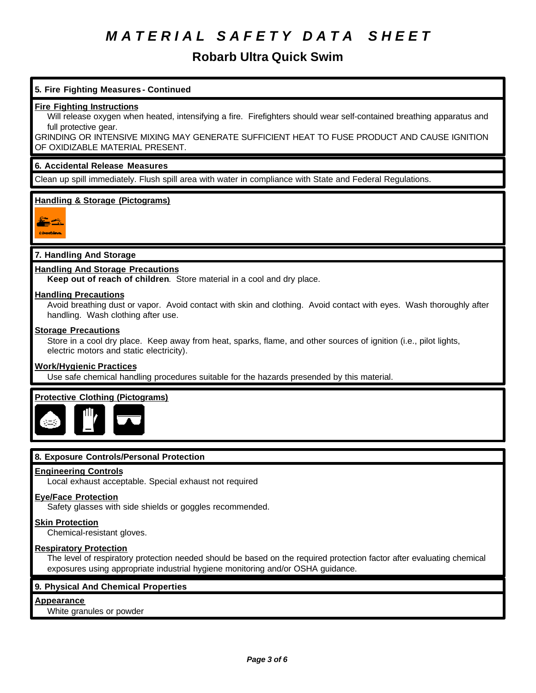## **Robarb Ultra Quick Swim**

## **5. Fire Fighting Measures - Continued**

#### **Fire Fighting Instructions**

Will release oxygen when heated, intensifying a fire. Firefighters should wear self-contained breathing apparatus and full protective gear.

GRINDING OR INTENSIVE MIXING MAY GENERATE SUFFICIENT HEAT TO FUSE PRODUCT AND CAUSE IGNITION OF OXIDIZABLE MATERIAL PRESENT.

#### **6. Accidental Release Measures**

Clean up spill immediately. Flush spill area with water in compliance with State and Federal Regulations.

## **Handling & Storage (Pictograms)**



## **7. Handling And Storage**

### **Handling And Storage Precautions**

**Keep out of reach of children**. Store material in a cool and dry place.

#### **Handling Precautions**

Avoid breathing dust or vapor. Avoid contact with skin and clothing. Avoid contact with eyes. Wash thoroughly after handling. Wash clothing after use.

### **Storage Precautions**

Store in a cool dry place. Keep away from heat, sparks, flame, and other sources of ignition (i.e., pilot lights, electric motors and static electricity).

#### **Work/Hygienic Practices**

Use safe chemical handling procedures suitable for the hazards presended by this material.

## **Protective Clothing (Pictograms)**



## **8. Exposure Controls/Personal Protection**

#### **Engineering Controls**

Local exhaust acceptable. Special exhaust not required

#### **Eye/Face Protection**

Safety glasses with side shields or goggles recommended.

#### **Skin Protection**

Chemical-resistant gloves.

#### **Respiratory Protection**

The level of respiratory protection needed should be based on the required protection factor after evaluating chemical exposures using appropriate industrial hygiene monitoring and/or OSHA guidance.

#### **9. Physical And Chemical Properties**

## **Appearance**

White granules or powder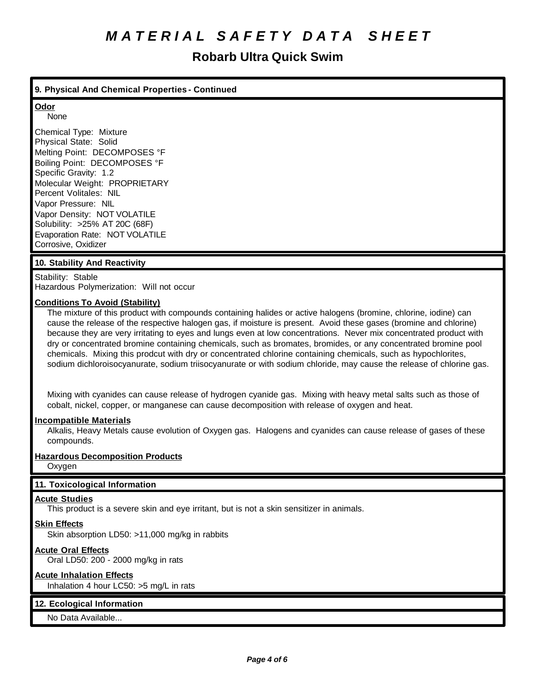## **Robarb Ultra Quick Swim**

## **9. Physical And Chemical Properties - Continued**

#### **Odor** None

Chemical Type: Mixture Physical State: Solid Melting Point: DECOMPOSES °F Boiling Point: DECOMPOSES °F Specific Gravity: 1.2 Molecular Weight: PROPRIETARY Percent Volitales: NIL Vapor Pressure: NIL Vapor Density: NOT VOLATILE Solubility: >25% AT 20C (68F) Evaporation Rate: NOT VOLATILE Corrosive, Oxidizer

## **10. Stability And Reactivity**

Stability: Stable Hazardous Polymerization: Will not occur

## **Conditions To Avoid (Stability)**

The mixture of this product with compounds containing halides or active halogens (bromine, chlorine, iodine) can cause the release of the respective halogen gas, if moisture is present. Avoid these gases (bromine and chlorine) because they are very irritating to eyes and lungs even at low concentrations. Never mix concentrated product with dry or concentrated bromine containing chemicals, such as bromates, bromides, or any concentrated bromine pool chemicals. Mixing this prodcut with dry or concentrated chlorine containing chemicals, such as hypochlorites, sodium dichloroisocyanurate, sodium triisocyanurate or with sodium chloride, may cause the release of chlorine gas.

Mixing with cyanides can cause release of hydrogen cyanide gas. Mixing with heavy metal salts such as those of cobalt, nickel, copper, or manganese can cause decomposition with release of oxygen and heat.

#### **Incompatible Materials**

Alkalis, Heavy Metals cause evolution of Oxygen gas. Halogens and cyanides can cause release of gases of these compounds.

## **Hazardous Decomposition Products**

**Oxygen** 

## **11. Toxicological Information**

#### **Acute Studies**

This product is a severe skin and eye irritant, but is not a skin sensitizer in animals.

## **Skin Effects**

Skin absorption LD50: >11,000 mg/kg in rabbits

## **Acute Oral Effects**

Oral LD50: 200 - 2000 mg/kg in rats

## **Acute Inhalation Effects**

Inhalation 4 hour LC50: >5 mg/L in rats

## **12. Ecological Information**

No Data Available...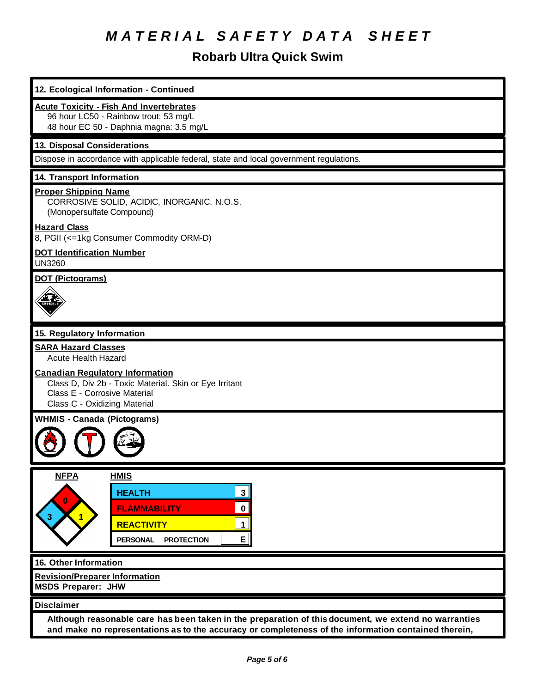## **Robarb Ultra Quick Swim**

| 12. Ecological Information - Continued                                                                                                                                                                       |  |  |  |
|--------------------------------------------------------------------------------------------------------------------------------------------------------------------------------------------------------------|--|--|--|
| <b>Acute Toxicity - Fish And Invertebrates</b><br>96 hour LC50 - Rainbow trout: 53 mg/L<br>48 hour EC 50 - Daphnia magna: 3.5 mg/L                                                                           |  |  |  |
| 13. Disposal Considerations                                                                                                                                                                                  |  |  |  |
| Dispose in accordance with applicable federal, state and local government regulations.                                                                                                                       |  |  |  |
| 14. Transport Information                                                                                                                                                                                    |  |  |  |
| <b>Proper Shipping Name</b><br>CORROSIVE SOLID, ACIDIC, INORGANIC, N.O.S.<br>(Monopersulfate Compound)                                                                                                       |  |  |  |
| <b>Hazard Class</b><br>8, PGII (<=1kg Consumer Commodity ORM-D)                                                                                                                                              |  |  |  |
| <b>DOT Identification Number</b><br><b>UN3260</b>                                                                                                                                                            |  |  |  |
| <b>DOT (Pictograms)</b>                                                                                                                                                                                      |  |  |  |
| 15. Regulatory Information                                                                                                                                                                                   |  |  |  |
| <b>SARA Hazard Classes</b>                                                                                                                                                                                   |  |  |  |
| <b>Acute Health Hazard</b>                                                                                                                                                                                   |  |  |  |
| <b>Canadian Regulatory Information</b><br>Class D, Div 2b - Toxic Material. Skin or Eye Irritant<br>Class E - Corrosive Material<br>Class C - Oxidizing Material                                             |  |  |  |
| <b>WHMIS - Canada (Pictograms)</b>                                                                                                                                                                           |  |  |  |
|                                                                                                                                                                                                              |  |  |  |
| <b>NFPA</b><br><b>HMIS</b><br>3 <br><b>HEALTH</b>                                                                                                                                                            |  |  |  |
| 0<br>$\mathbf{0}$<br><b>FLAMMABILITY</b>                                                                                                                                                                     |  |  |  |
| $\mathbf{1}$<br>$\mathbf 1$<br><b>REACTIVITY</b>                                                                                                                                                             |  |  |  |
| E<br><b>PROTECTION</b><br><b>PERSONAL</b>                                                                                                                                                                    |  |  |  |
| 16. Other Information                                                                                                                                                                                        |  |  |  |
| <b>Revision/Preparer Information</b><br><b>MSDS Preparer: JHW</b>                                                                                                                                            |  |  |  |
| <b>Disclaimer</b>                                                                                                                                                                                            |  |  |  |
| Although reasonable care has been taken in the preparation of this document, we extend no warranties<br>and make no representations as to the accuracy or completeness of the information contained therein, |  |  |  |